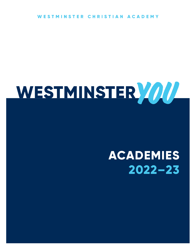MINSTER CHRISTIAN ACADEMY W

# WESTMINSTER ////

# **ACADEMIES**  $2022 - 23$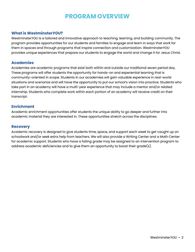### **PROGRAM OVERVIEW**

#### **What is Westminster***YOU***?**

Westminster*YOU* is a tailored and innovative approach to teaching, learning, and building community. The program provides opportunities for our students and families to engage and learn in ways that work for them in spaces and through programs that inspire connection and customization. Westminster*YOU* provides unique experiences that prepare our students to engage the world and change it for Jesus Christ.

#### **Academies**

Academies are academic programs that exist both within and outside our traditional seven period day. These programs will offer students the opportunity for hands-on and experiential learning that is community-oriented in scope. Students in our academies will gain valuable experience in real-world situations and scenarios and will have the opportunity to put our school's vision into practice. Students who take part in an academy will have a multi-year experience that may include a mentor and/or related internship. Students who complete work within each portion of an academy will receive credit on their transcript.

#### **Enrichment**

Academic enrichment opportunities offer students the unique ability to go deeper and further into academic material they are interested in. These opportunities stretch across the disciplines.

#### **Recovery**

Academic recovery is designed to give students time, space, and support each week to get caught up on schoolwork and/or seek extra help from teachers. We will also provide a Writing Center and a Math Center for academic support. Students who have a failing grade may be assigned to an intervention program to address academic deficiencies and to give them an opportunity to boost their grade(s).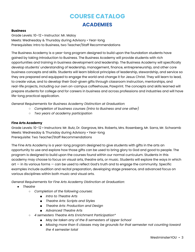## **COURSE CATALOG ACADEMIES**

#### **Business**

Grade Levels: 10–12 • Instructor: Mr. Maloy Meets: Wednesday & Thursday during Advisory • Year-long Prerequisites: Intro to Business, two Teacher/Staff Recommendations

The Business Academy is a year-long program designed to build upon the foundation students have gained by taking Introduction to Business. The Business Academy will provide students with rich opportunities and training in business development and leadership. The Business Academy will specifically develop students' understanding of leadership, management, finance, entrepreneurship, and other core business concepts and skills. Students will learn biblical principles of leadership, stewardship, and service so they are prepared and equipped to engage the world and change it for Jesus Christ. They will learn to lead, to create value, and to develop their God-given gifts through classroom instruction, mentorships, and real-life projects, including our own on-campus coffeehouse, Pawprint. The concepts and skills learned will prepare students for college and for careers in business and across professions and industries and will have life-long practical application.

*General Requirements for Business Academy Distinction at Graduation:*

- *○ Completion of business courses (Intro to Business and one other)*
- *○ Two years of academy participation*

#### **Fine Arts Academy**

Grade Levels: 10–12 • Instructors: Mr. Butz, Dr. Gargrave, Mrs. Roberts, Mrs. Rosenberg, Mr. Sarra, Mr. Schwamb Meets: Wednesday & Thursday during Advisory • Year-long Prerequisite: Two Teacher/Staff Recommendations

The Fine Arts Academy is a year-long program designed to give students with gifts in the arts an opportunity to use and explore how those gifts can be used to bring glory to God and good to people. The program is designed to build upon the courses found within our normal curriculum. Students in this academy may choose to focus on visual arts, theatre arts, or music. Students will explore the ways in which art — in its various forms — can be used to reflect God's truth and to engage the community. Specific examples include audition and recital preparation, developing stage presence, and advanced focus on various disciplines within both music and visual arts.

*General Requirements for Fine Arts Academy Distinction at Graduation:*

- *● Theatre*
	- *○ Completion of the following courses:*
		- *■ Intro to Theatre Arts*
		- *■ Theatre Arts: Scripts and Styles*
		- *■ Theatre Arts: Production and Design*
		- *■ Advanced Theatre Arts*
	- *○ 4 semesters Theatre Arts Enrichment Participation\**
		- *■ May be taken any of the 8 semesters of Upper School*
		- *■ Missing more than 6 classes may be grounds for that semester not counting toward the 4 semester total*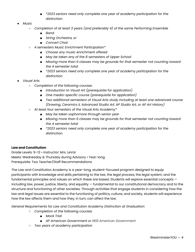- *■ \*2023 seniors need only complete one year of academy participation for the distinction.*
- *● Music*
	- *○ Completion of at least 3 years (and preferably 4) of the same Performing Ensemble*
		- *■ Band*
		- *■ String Orchestra, or*
		- *■ Concert Choir*
	- *○ 4 semesters Music Enrichment Participation\**
		- *■ Choose any music enrichment offered*
		- *■ May be taken any of the 8 semesters of Upper School*
		- *■ Missing more than 6 classes may be grounds for that semester not counting toward the 4 semester total*
		- *■ \*2023 seniors need only complete one year of academy participation for the distinction.*
- *● Visual Arts*
	- *○ Completion of the following courses:*
		- *■ Introduction to Visual Art (prerequisite for application)*
		- *■ One media-specific course (prerequisite for application)*
		- *■ Two additional semesters of Visual Arts study including at least one advanced course (Drawing, Ceramics II, Advanced Studio Art, AP Studio Art, or AP Art History)*
	- *○ At least four semesters of the Visual Arts Academy\**
		- *■ May be taken sophomore through senior year*
		- *■ Missing more than 6 classes may be grounds for that semester not counting toward the 4 semester total*
		- *■ \*2023 seniors need only complete one year of academy participation for the distinction.*

#### **Law and Constitution**

Grade Levels: 9–12 • Instructor: Mrs. LeVar Meets: Wednesday & Thursday during Advisory • Year-long Prerequisite: Two Teacher/Staff Recommendations

The Law and Constitution Academy is a year-long, student-focused program designed to equip participants with knowledge and skills pertaining to the law, the legal process, the legal system, and the fundamental principles and values on which these are based. Students will explore essential concepts including law, power, justice, liberty, and equality — fundamental to our constitutional democracy and to the structure and functioning of other societies. Through activities that engage students in considering how the law and legal issues are essential to the functioning of politics, culture, and society, students will experience how the law affects them and how they, in turn, can affect the law.

*General Requirements for Law and Constitution Academy Distinction at Graduation:*

- *○ Completion of the following courses:*
	- *■ Mock Trial*
	- *■ AP American Government or 1818 American Government*
- *○ Two years of academy participation*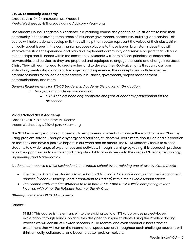#### **STUCO Leadership Academy**

Grade Levels: 9–12 • Instructor: Ms. Woodall Meets: Wednesday & Thursday during Advisory • Year-long

The Student Council Leadership Academy is a yearlong course designed to equip students to lead their community in the following three areas of influence: government, community building, and service. This course will help students develop skills that will help them better represent the voices of their class, think critically about issues in the community, propose solutions to those issues, brainstorm ideas that will improve the student experience, and plan and implement community and service projects that will build relationships and fill needs within the community. Students will learn biblical principles of leadership, stewardship, and service, so they are prepared and equipped to engage the world and change it for Jesus Christ. They will learn to lead, to create value, and to develop their God-given gifts through classroom instruction, mentorships, and real-life projects and experience. The concepts and skills learned will prepare students for college and for careers in business, government, project management, communications, and more.

*General Requirements for STUCO Leadership Academy Distinction at Graduation:*

- *○ Two years of academy participation*
	- *■ \*2023 seniors need only complete one year of academy participation for the distinction.*

#### **Middle School STEM Academy**

Grade Levels: 7-8 • Instructor: Mr. Decker Meets: Wednesdays, 2:10–3 p.m. • Year-long

The STEM Academy is a project-based guild empowering students to change the world for Jesus Christ by using problem solving. Through a synergy of disciplines, students will learn more about God and his creation so that they can have a positive impact in our world and on others. The STEM Academy seeks to expose students to a wide range of experiences and activities. Through learning-by-doing, this approach provides valuable opportunities to discover and integrate a biblical worldview into the areas of Science, Technology, Engineering, and Mathematics.

*Students can receive a STEM Distinction in the Middle School by completing one of two available tracks.*

- The first track requires students to take both STEM 7 and STEM 8 while completing the 2 enrichment *courses (Ocean Discovery I and Introduction to Coding) within their Middle School career.*
- *● The second track requires students to take both STEM 7 and STEM 8 while completing a year involved with either the Robotics Team or the AV Club.*

*Offerings within the MS STEM Academy:*

#### *Courses*

STEM 7 This course is the entrance into the exciting world of STEM. It provides project-based exploration through hands-on activities designed to inspire students. Using the Problem Solving Process we will construct Newton scooters, build rockets, and even conduct a heat transfer experiment that will run on the International Space Station. Throughout each challenge, students will think critically, collaborate, and become better problem solvers.